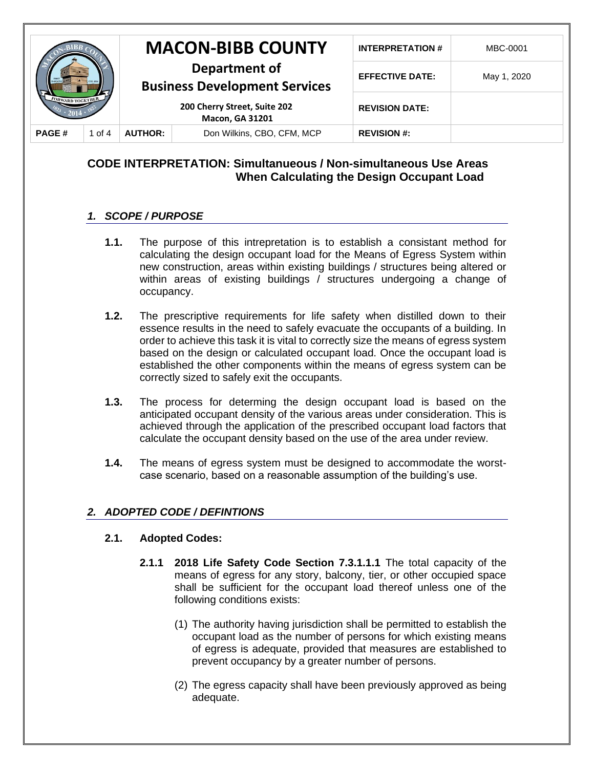|                         |        | <b>MACON-BIBB COUNTY</b>                                                                                        |                            | <b>INTERPRETATION#</b> | MBC-0001    |
|-------------------------|--------|-----------------------------------------------------------------------------------------------------------------|----------------------------|------------------------|-------------|
| <b>FORWARD TOGETHER</b> |        | Department of<br><b>Business Development Services</b><br>200 Cherry Street, Suite 202<br><b>Macon, GA 31201</b> |                            | <b>EFFECTIVE DATE:</b> | May 1, 2020 |
|                         |        |                                                                                                                 |                            | <b>REVISION DATE:</b>  |             |
| <b>PAGE#</b>            | 1 of 4 | <b>AUTHOR:</b>                                                                                                  | Don Wilkins, CBO, CFM, MCP | <b>REVISION #:</b>     |             |

# **CODE INTERPRETATION: Simultanueous / Non-simultaneous Use Areas When Calculating the Design Occupant Load**

## *1. SCOPE / PURPOSE*

- **1.1.** The purpose of this intrepretation is to establish a consistant method for calculating the design occupant load for the Means of Egress System within new construction, areas within existing buildings / structures being altered or within areas of existing buildings / structures undergoing a change of occupancy.
- **1.2.** The prescriptive requirements for life safety when distilled down to their essence results in the need to safely evacuate the occupants of a building. In order to achieve this task it is vital to correctly size the means of egress system based on the design or calculated occupant load. Once the occupant load is established the other components within the means of egress system can be correctly sized to safely exit the occupants.
- **1.3.** The process for determing the design occupant load is based on the anticipated occupant density of the various areas under consideration. This is achieved through the application of the prescribed occupant load factors that calculate the occupant density based on the use of the area under review.
- **1.4.** The means of egress system must be designed to accommodate the worstcase scenario, based on a reasonable assumption of the building's use.

## *2. ADOPTED CODE / DEFINTIONS*

#### **2.1. Adopted Codes:**

- **2.1.1 2018 Life Safety Code Section 7.3.1.1.1** The total capacity of the means of egress for any story, balcony, tier, or other occupied space shall be sufficient for the occupant load thereof unless one of the following conditions exists:
	- (1) The authority having jurisdiction shall be permitted to establish the occupant load as the number of persons for which existing means of egress is adequate, provided that measures are established to prevent occupancy by a greater number of persons.
	- (2) The egress capacity shall have been previously approved as being adequate.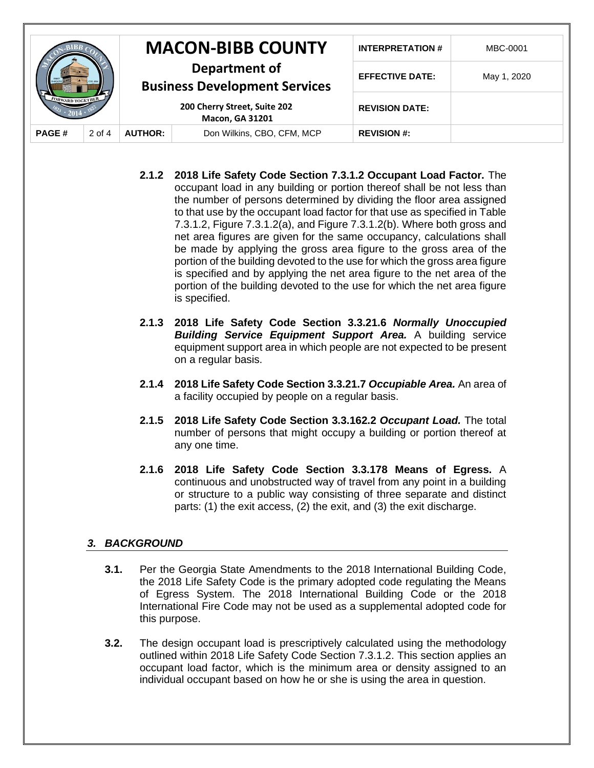|                         |          |                                                                                                                 | <b>MACON-BIBB COUNTY</b>   | <b>INTERPRETATION#</b> | MBC-0001    |
|-------------------------|----------|-----------------------------------------------------------------------------------------------------------------|----------------------------|------------------------|-------------|
| <b>FORWARD TOGETHER</b> |          | Department of<br><b>Business Development Services</b><br>200 Cherry Street, Suite 202<br><b>Macon, GA 31201</b> |                            | <b>EFFECTIVE DATE:</b> | May 1, 2020 |
|                         |          |                                                                                                                 |                            | <b>REVISION DATE:</b>  |             |
| <b>PAGE#</b>            | $2$ of 4 | <b>AUTHOR:</b>                                                                                                  | Don Wilkins, CBO, CFM, MCP | <b>REVISION #:</b>     |             |

- **2.1.2 2018 Life Safety Code Section 7.3.1.2 Occupant Load Factor.** The occupant load in any building or portion thereof shall be not less than the number of persons determined by dividing the floor area assigned to that use by the occupant load factor for that use as specified in Table 7.3.1.2, Figure 7.3.1.2(a), and Figure 7.3.1.2(b). Where both gross and net area figures are given for the same occupancy, calculations shall be made by applying the gross area figure to the gross area of the portion of the building devoted to the use for which the gross area figure is specified and by applying the net area figure to the net area of the portion of the building devoted to the use for which the net area figure is specified.
- **2.1.3 2018 Life Safety Code Section 3.3.21.6** *Normally Unoccupied*  **Building Service Equipment Support Area.** A building service equipment support area in which people are not expected to be present on a regular basis.
- **2.1.4 2018 Life Safety Code Section 3.3.21.7** *Occupiable Area.* An area of a facility occupied by people on a regular basis.
- **2.1.5 2018 Life Safety Code Section 3.3.162.2** *Occupant Load.* The total number of persons that might occupy a building or portion thereof at any one time.
- **2.1.6 2018 Life Safety Code Section 3.3.178 Means of Egress.** A continuous and unobstructed way of travel from any point in a building or structure to a public way consisting of three separate and distinct parts: (1) the exit access, (2) the exit, and (3) the exit discharge.

#### *3. BACKGROUND*

- **3.1.** Per the Georgia State Amendments to the 2018 International Building Code, the 2018 Life Safety Code is the primary adopted code regulating the Means of Egress System. The 2018 International Building Code or the 2018 International Fire Code may not be used as a supplemental adopted code for this purpose.
- **3.2.** The design occupant load is prescriptively calculated using the methodology outlined within 2018 Life Safety Code Section 7.3.1.2. This section applies an occupant load factor, which is the minimum area or density assigned to an individual occupant based on how he or she is using the area in question.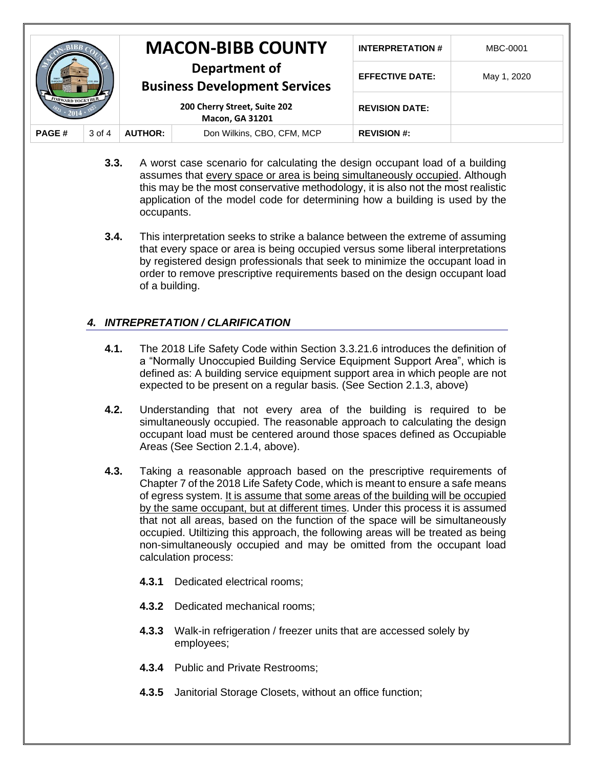|                  |        |                                                                                                                 | <b>MACON-BIBB COUNTY</b>   | <b>INTERPRETATION#</b> | MBC-0001    |
|------------------|--------|-----------------------------------------------------------------------------------------------------------------|----------------------------|------------------------|-------------|
| FORWARD TOGETHER |        | Department of<br><b>Business Development Services</b><br>200 Cherry Street, Suite 202<br><b>Macon, GA 31201</b> |                            | <b>EFFECTIVE DATE:</b> | May 1, 2020 |
|                  |        |                                                                                                                 |                            | <b>REVISION DATE:</b>  |             |
| <b>PAGE#</b>     | 3 of 4 | <b>AUTHOR:</b>                                                                                                  | Don Wilkins, CBO, CFM, MCP | <b>REVISION #:</b>     |             |

- **3.3.** A worst case scenario for calculating the design occupant load of a building assumes that every space or area is being simultaneously occupied. Although this may be the most conservative methodology, it is also not the most realistic application of the model code for determining how a building is used by the occupants.
- **3.4.** This interpretation seeks to strike a balance between the extreme of assuming that every space or area is being occupied versus some liberal interpretations by registered design professionals that seek to minimize the occupant load in order to remove prescriptive requirements based on the design occupant load of a building.

## *4. INTREPRETATION / CLARIFICATION*

- **4.1.** The 2018 Life Safety Code within Section 3.3.21.6 introduces the definition of a "Normally Unoccupied Building Service Equipment Support Area", which is defined as: A building service equipment support area in which people are not expected to be present on a regular basis. (See Section 2.1.3, above)
- **4.2.** Understanding that not every area of the building is required to be simultaneously occupied. The reasonable approach to calculating the design occupant load must be centered around those spaces defined as Occupiable Areas (See Section 2.1.4, above).
- **4.3.** Taking a reasonable approach based on the prescriptive requirements of Chapter 7 of the 2018 Life Safety Code, which is meant to ensure a safe means of egress system. It is assume that some areas of the building will be occupied by the same occupant, but at different times. Under this process it is assumed that not all areas, based on the function of the space will be simultaneously occupied. Utiltizing this approach, the following areas will be treated as being non-simultaneously occupied and may be omitted from the occupant load calculation process:
	- **4.3.1** Dedicated electrical rooms;
	- **4.3.2** Dedicated mechanical rooms;
	- **4.3.3** Walk-in refrigeration / freezer units that are accessed solely by employees;
	- **4.3.4** Public and Private Restrooms;
	- **4.3.5** Janitorial Storage Closets, without an office function;